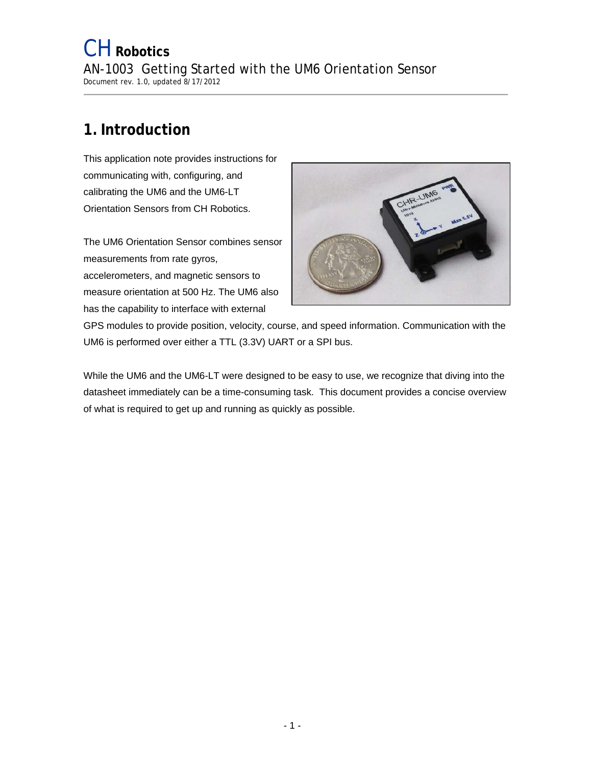## <span id="page-0-0"></span>**1.Introduction**

This application note provides instructions for communicating with, configuring, and calibrating the UM6 and the UM6-LT Orientation Sensors from CH Robotics.

The UM6 Orientation Sensor combines sensor measurements from rate gyros, accelerometers, and magnetic sensors to measure orientation at 500 Hz. The UM6 also has the capability to interface with external



GPS modules to provide position, velocity, course, and speed information. Communication with the UM6 is performed over either a TTL (3.3V) UART or a SPI bus.

While the UM6 and the UM6-LT were designed to be easy to use, we recognize that diving into the datasheet immediately can be a time-consuming task. This document provides a concise overview of what is required to get up and running as quickly as possible.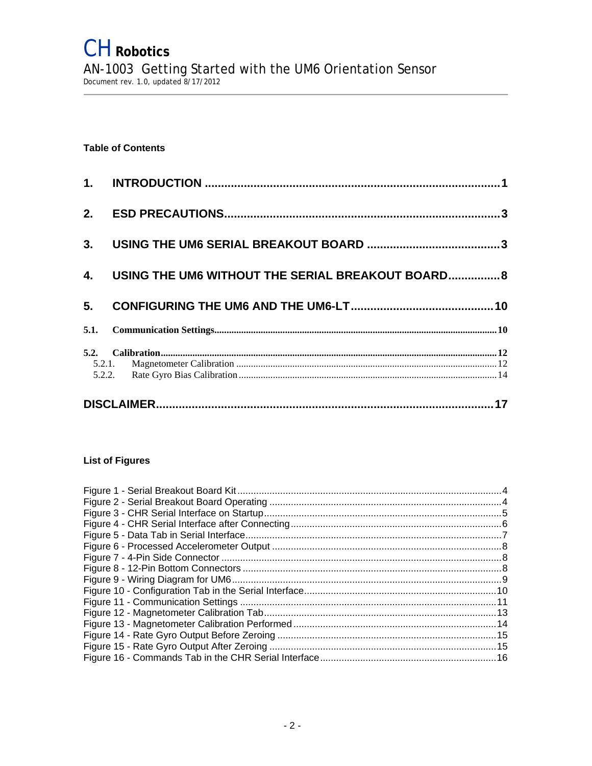#### **Table of Contents**

| 4. USING THE UM6 WITHOUT THE SERIAL BREAKOUT BOARD 8 |  |
|------------------------------------------------------|--|
|                                                      |  |
|                                                      |  |
|                                                      |  |
|                                                      |  |

#### **List of Figures**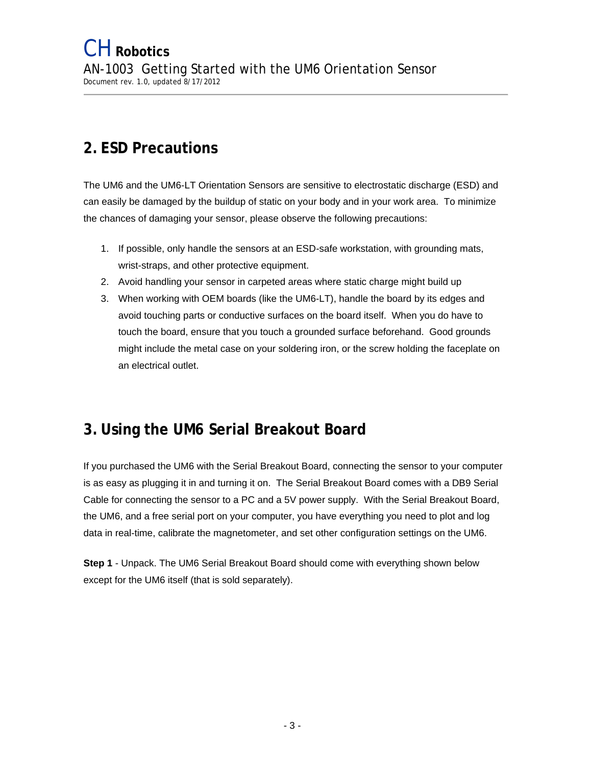# <span id="page-2-0"></span>**2. ESD Precautions**

The UM6 and the UM6-LT Orientation Sensors are sensitive to electrostatic discharge (ESD) and can easily be damaged by the buildup of static on your body and in your work area. To minimize the chances of damaging your sensor, please observe the following precautions:

- 1. If possible, only handle the sensors at an ESD-safe workstation, with grounding mats, wrist-straps, and other protective equipment.
- 2. Avoid handling your sensor in carpeted areas where static charge might build up
- 3. When working with OEM boards (like the UM6-LT), handle the board by its edges and avoid touching parts or conductive surfaces on the board itself. When you do have to touch the board, ensure that you touch a grounded surface beforehand. Good grounds might include the metal case on your soldering iron, or the screw holding the faceplate on an electrical outlet.

## <span id="page-2-1"></span>**3. Using the UM6 Serial Breakout Board**

If you purchased the UM6 with the Serial Breakout Board, connecting the sensor to your computer is as easy as plugging it in and turning it on. The Serial Breakout Board comes with a DB9 Serial Cable for connecting the sensor to a PC and a 5V power supply. With the Serial Breakout Board, the UM6, and a free serial port on your computer, you have everything you need to plot and log data in real-time, calibrate the magnetometer, and set other configuration settings on the UM6.

**Step 1** - Unpack. The UM6 Serial Breakout Board should come with everything shown below except for the UM6 itself (that is sold separately).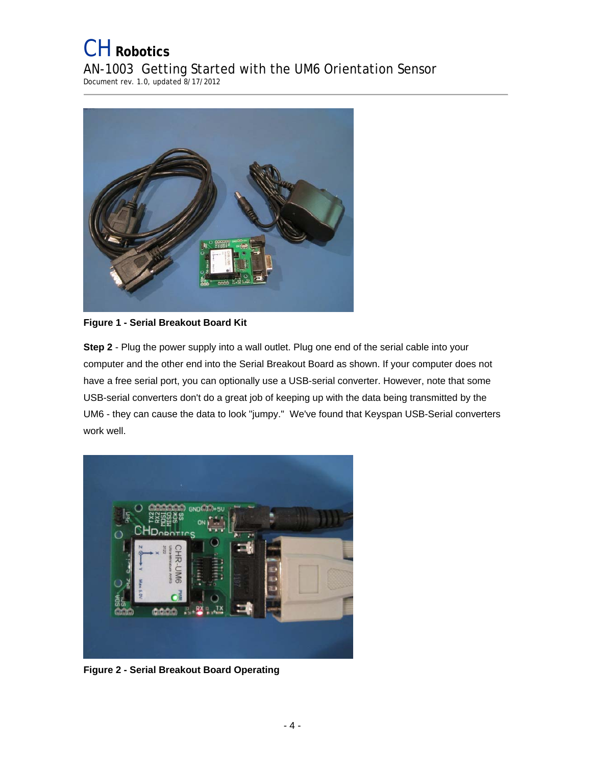

**Figure 1 - Serial Breakout Board Kit** 

<span id="page-3-0"></span>**Step 2** - Plug the power supply into a wall outlet. Plug one end of the serial cable into your computer and the other end into the Serial Breakout Board as shown. If your computer does not have a free serial port, you can optionally use a USB-serial converter. However, note that some USB-serial converters don't do a great job of keeping up with the data being transmitted by the UM6 - they can cause the data to look "jumpy." We've found that Keyspan USB-Serial converters work well.

<span id="page-3-1"></span>

**Figure 2 - Serial Breakout Board Operating**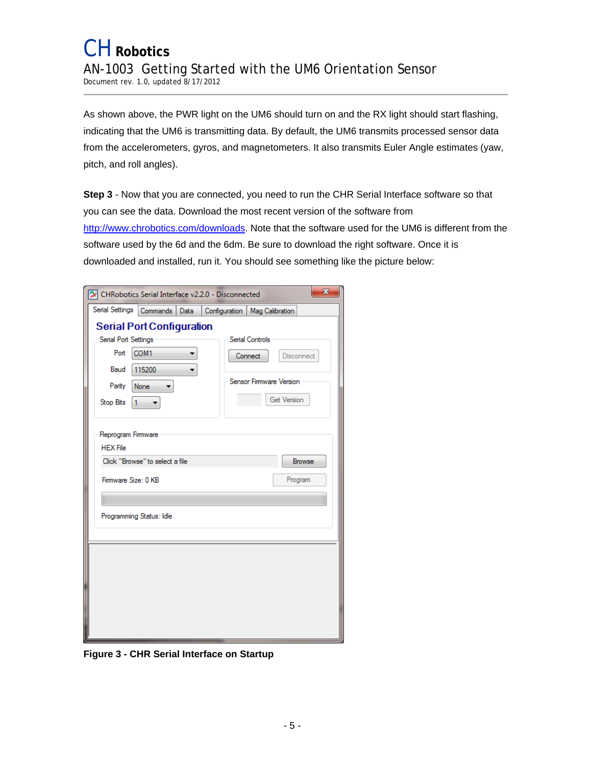As shown above, the PWR light on the UM6 should turn on and the RX light should start flashing, indicating that the UM6 is transmitting data. By default, the UM6 transmits processed sensor data from the accelerometers, gyros, and magnetometers. It also transmits Euler Angle estimates (yaw, pitch, and roll angles).

**Step 3** - Now that you are connected, you need to run the CHR Serial Interface software so that you can see the data. Download the most recent version of the software from http://www.chrobotics.com/downloads. Note that the software used for the UM6 is different from the software used by the 6d and the 6dm. Be sure to download the right software. Once it is downloaded and installed, run it. You should see something like the picture below:

| X<br>CHRobotics Serial Interface v2.2.0 - Disconnected |                                 |  |  |  |  |
|--------------------------------------------------------|---------------------------------|--|--|--|--|
| Serial Settings<br>Commands   Data                     | Configuration   Mag Calibration |  |  |  |  |
| <b>Serial Port Configuration</b>                       |                                 |  |  |  |  |
| Serial Controls<br>Serial Port Settings                |                                 |  |  |  |  |
| Port<br>COM1                                           | Connect<br>Disconnect           |  |  |  |  |
| 115200<br>Baud                                         |                                 |  |  |  |  |
| None<br>Parity                                         | Sensor Firmware Version         |  |  |  |  |
| <b>Stop Bits</b><br>1<br>۰.                            | <b>Get Version</b>              |  |  |  |  |
|                                                        |                                 |  |  |  |  |
| Reprogram Firmware                                     |                                 |  |  |  |  |
| <b>HFX</b> File                                        |                                 |  |  |  |  |
| Click "Browse" to select a file                        | <b>Browse</b>                   |  |  |  |  |
| Firmware Size: 0 KB                                    | Program                         |  |  |  |  |
|                                                        |                                 |  |  |  |  |
| Programming Status: Idle                               |                                 |  |  |  |  |
|                                                        |                                 |  |  |  |  |
|                                                        |                                 |  |  |  |  |
|                                                        |                                 |  |  |  |  |
|                                                        |                                 |  |  |  |  |
|                                                        |                                 |  |  |  |  |
|                                                        |                                 |  |  |  |  |
|                                                        |                                 |  |  |  |  |
|                                                        |                                 |  |  |  |  |

<span id="page-4-0"></span>**Figure 3 - CHR Serial Interface on Startup**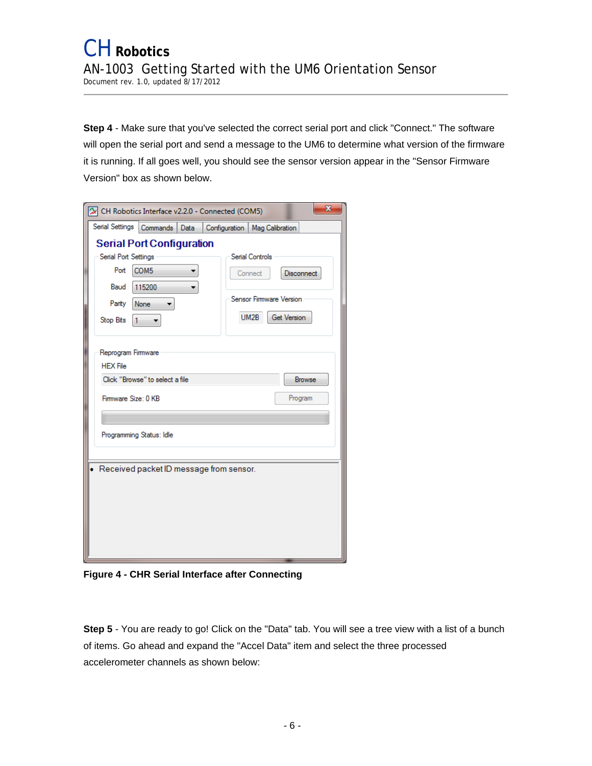**Step 4** - Make sure that you've selected the correct serial port and click "Connect." The software will open the serial port and send a message to the UM6 to determine what version of the firmware it is running. If all goes well, you should see the sensor version appear in the "Sensor Firmware Version" box as shown below.

| $\overline{\mathbf{x}}$<br>CH Robotics Interface v2.2.0 - Connected (COM5) |  |  |  |  |  |
|----------------------------------------------------------------------------|--|--|--|--|--|
| Serial Settings<br>Commands Data<br>Configuration   Mag Calibration        |  |  |  |  |  |
| <b>Serial Port Configuration</b>                                           |  |  |  |  |  |
| Serial Controls<br>Serial Port Settings                                    |  |  |  |  |  |
| Port<br>COM5<br>Disconnect<br>Connect                                      |  |  |  |  |  |
| Baud<br>115200                                                             |  |  |  |  |  |
| Sensor Firmware Version<br>Parity<br>None                                  |  |  |  |  |  |
| UM2B<br><b>Get Version</b><br><b>Stop Bits</b><br>1                        |  |  |  |  |  |
|                                                                            |  |  |  |  |  |
| Reprogram Firmware                                                         |  |  |  |  |  |
| <b>HEX File</b>                                                            |  |  |  |  |  |
| Click "Browse" to select a file<br><b>Browse</b>                           |  |  |  |  |  |
| Program<br>Firmware Size: 0 KB                                             |  |  |  |  |  |
|                                                                            |  |  |  |  |  |
| Programming Status: Idle                                                   |  |  |  |  |  |
|                                                                            |  |  |  |  |  |
|                                                                            |  |  |  |  |  |
| Received packet ID message from sensor.                                    |  |  |  |  |  |
|                                                                            |  |  |  |  |  |
|                                                                            |  |  |  |  |  |
|                                                                            |  |  |  |  |  |
|                                                                            |  |  |  |  |  |
|                                                                            |  |  |  |  |  |

<span id="page-5-0"></span>**Figure 4 - CHR Serial Interface after Connecting** 

**Step 5** - You are ready to go! Click on the "Data" tab. You will see a tree view with a list of a bunch of items. Go ahead and expand the "Accel Data" item and select the three processed accelerometer channels as shown below: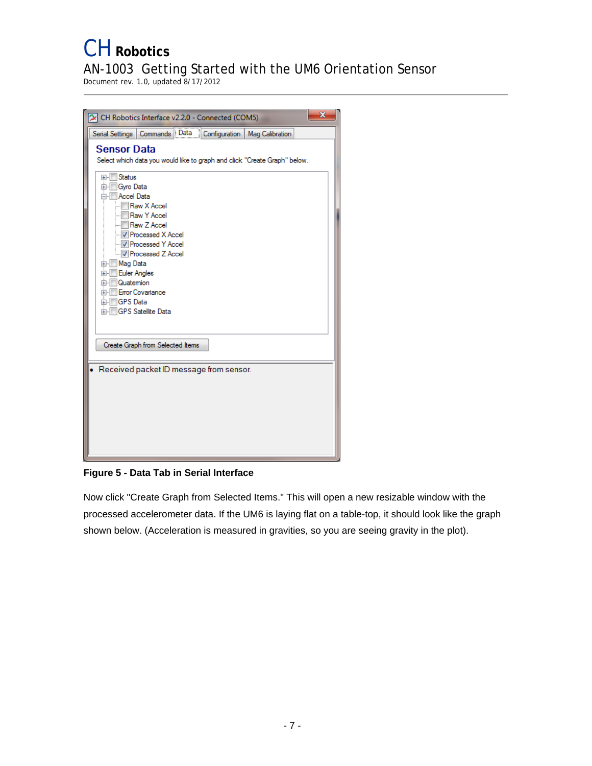Document rev. 1.0, updated 8/17/2012

| $\mathbf x$<br>X CH Robotics Interface v2.2.0 - Connected (COM5)                                                                                                                                                                                                                                                                            |
|---------------------------------------------------------------------------------------------------------------------------------------------------------------------------------------------------------------------------------------------------------------------------------------------------------------------------------------------|
| Commands Data Configuration<br>Serial Settings<br>Mag Calibration                                                                                                                                                                                                                                                                           |
| <b>Sensor Data</b><br>Select which data you would like to graph and click "Create Graph" below.                                                                                                                                                                                                                                             |
| <b>Status</b><br>⊕⊶<br>Gyro Data<br>田山<br>Accel Data<br>Ė.<br><b>Example Raw X Accel</b><br>Raw Y Accel<br>Raw Z Accel<br><b>I</b> Processed X Accel<br><b>I</b> Processed Y Accel<br>M Processed Z Accel<br>ia Mag Data<br>Euler Angles<br>Quatemion<br>田田<br>Error Covariance<br>田田<br>ia <b>I</b> l GPS Data<br>GPS Satellite Data<br>田田 |
| Create Graph from Selected Items                                                                                                                                                                                                                                                                                                            |
| Received packet ID message from sensor.<br>۰                                                                                                                                                                                                                                                                                                |

#### <span id="page-6-0"></span>**Figure 5 - Data Tab in Serial Interface**

Now click "Create Graph from Selected Items." This will open a new resizable window with the processed accelerometer data. If the UM6 is laying flat on a table-top, it should look like the graph shown below. (Acceleration is measured in gravities, so you are seeing gravity in the plot).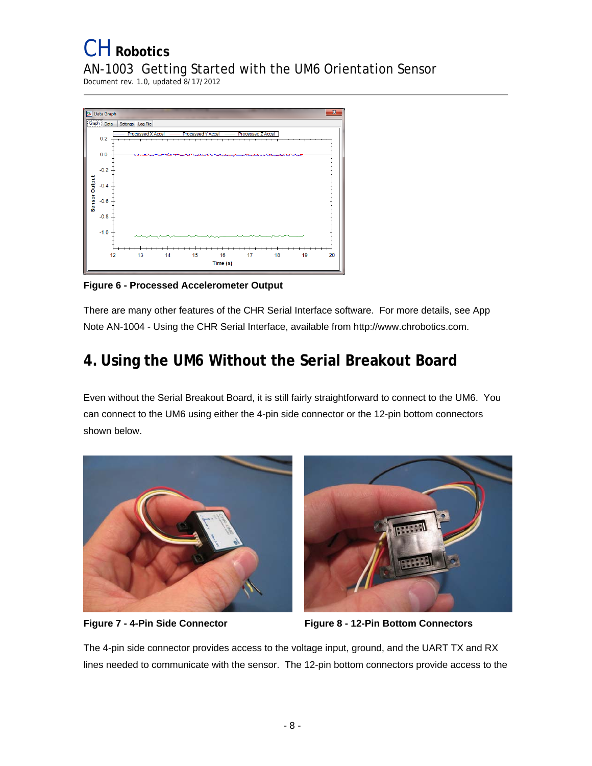

<span id="page-7-1"></span>**Figure 6 - Processed Accelerometer Output** 

There are many other features of the CHR Serial Interface software. For more details, see App Note AN-1004 - Using the CHR Serial Interface, available from http://www.chrobotics.com.

## <span id="page-7-0"></span>**4. Using the UM6 Without the Serial Breakout Board**

Even without the Serial Breakout Board, it is still fairly straightforward to connect to the UM6. You can connect to the UM6 using either the 4-pin side connector or the 12-pin bottom connectors shown below.





<span id="page-7-2"></span>

**Figure 7 - 4-Pin Side Connector Figure 8 - 12-Pin Bottom Connectors** 

The 4-pin side connector provides access to the voltage input, ground, and the UART TX and RX lines needed to communicate with the sensor. The 12-pin bottom connectors provide access to the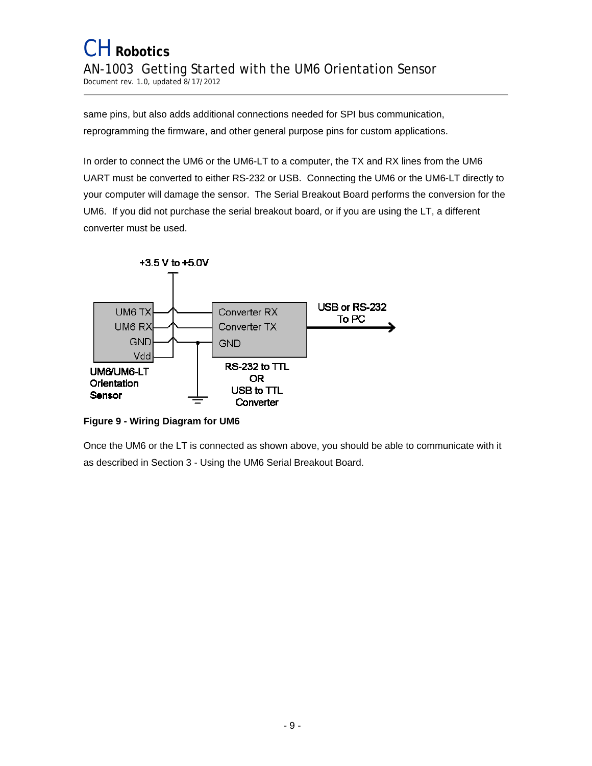same pins, but also adds additional connections needed for SPI bus communication, reprogramming the firmware, and other general purpose pins for custom applications.

In order to connect the UM6 or the UM6-LT to a computer, the TX and RX lines from the UM6 UART must be converted to either RS-232 or USB. Connecting the UM6 or the UM6-LT directly to your computer will damage the sensor. The Serial Breakout Board performs the conversion for the UM6. If you did not purchase the serial breakout board, or if you are using the LT, a different converter must be used.



<span id="page-8-0"></span>**Figure 9 - Wiring Diagram for UM6** 

Once the UM6 or the LT is connected as shown above, you should be able to communicate with it as described in Section 3 - Using the UM6 Serial Breakout Board.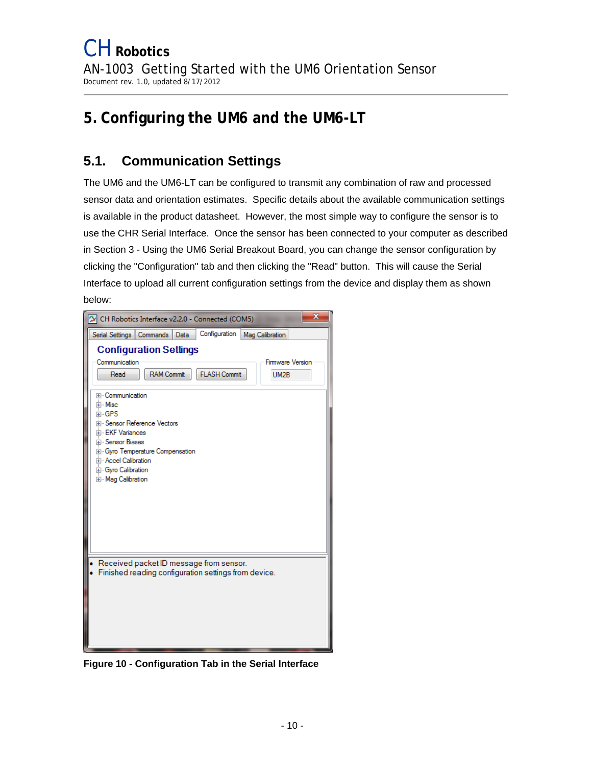# <span id="page-9-0"></span>**5. Configuring the UM6 and the UM6-LT**

### <span id="page-9-1"></span>**5.1. Communication Settings**

The UM6 and the UM6-LT can be configured to transmit any combination of raw and processed sensor data and orientation estimates. Specific details about the available communication settings is available in the product datasheet. However, the most simple way to configure the sensor is to use the CHR Serial Interface. Once the sensor has been connected to your computer as described in Section 3 - Using the UM6 Serial Breakout Board, you can change the sensor configuration by clicking the "Configuration" tab and then clicking the "Read" button. This will cause the Serial Interface to upload all current configuration settings from the device and display them as shown below:

<span id="page-9-2"></span>

**Figure 10 - Configuration Tab in the Serial Interface**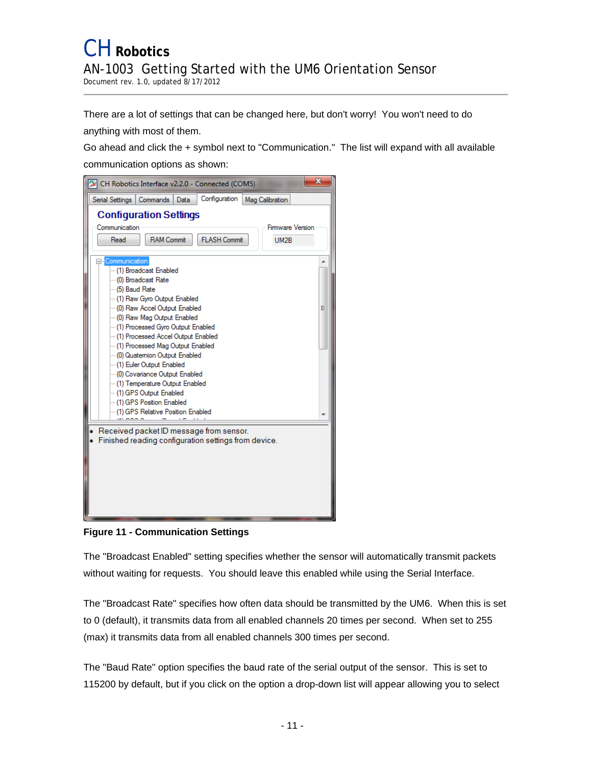There are a lot of settings that can be changed here, but don't worry! You won't need to do anything with most of them.

Go ahead and click the + symbol next to "Communication." The list will expand with all available communication options as shown:



**Figure 11 - Communication Settings** 

<span id="page-10-0"></span>The "Broadcast Enabled" setting specifies whether the sensor will automatically transmit packets without waiting for requests. You should leave this enabled while using the Serial Interface.

The "Broadcast Rate" specifies how often data should be transmitted by the UM6. When this is set to 0 (default), it transmits data from all enabled channels 20 times per second. When set to 255 (max) it transmits data from all enabled channels 300 times per second.

The "Baud Rate" option specifies the baud rate of the serial output of the sensor. This is set to 115200 by default, but if you click on the option a drop-down list will appear allowing you to select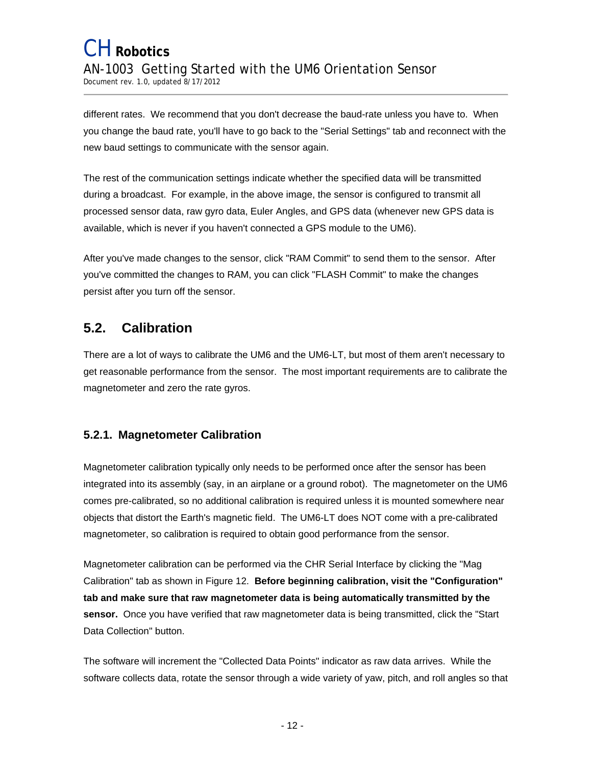different rates. We recommend that you don't decrease the baud-rate unless you have to. When you change the baud rate, you'll have to go back to the "Serial Settings" tab and reconnect with the new baud settings to communicate with the sensor again.

The rest of the communication settings indicate whether the specified data will be transmitted during a broadcast. For example, in the above image, the sensor is configured to transmit all processed sensor data, raw gyro data, Euler Angles, and GPS data (whenever new GPS data is available, which is never if you haven't connected a GPS module to the UM6).

After you've made changes to the sensor, click "RAM Commit" to send them to the sensor. After you've committed the changes to RAM, you can click "FLASH Commit" to make the changes persist after you turn off the sensor.

#### <span id="page-11-0"></span>**5.2. Calibration**

There are a lot of ways to calibrate the UM6 and the UM6-LT, but most of them aren't necessary to get reasonable performance from the sensor. The most important requirements are to calibrate the magnetometer and zero the rate gyros.

#### <span id="page-11-1"></span>**5.2.1. Magnetometer Calibration**

Magnetometer calibration typically only needs to be performed once after the sensor has been integrated into its assembly (say, in an airplane or a ground robot). The magnetometer on the UM6 comes pre-calibrated, so no additional calibration is required unless it is mounted somewhere near objects that distort the Earth's magnetic field. The UM6-LT does NOT come with a pre-calibrated magnetometer, so calibration is required to obtain good performance from the sensor.

Magnetometer calibration can be performed via the CHR Serial Interface by clicking the "Mag Calibration" tab as shown in Figure 12. **Before beginning calibration, visit the "Configuration" tab and make sure that raw magnetometer data is being automatically transmitted by the sensor.** Once you have verified that raw magnetometer data is being transmitted, click the "Start Data Collection" button.

The software will increment the "Collected Data Points" indicator as raw data arrives. While the software collects data, rotate the sensor through a wide variety of yaw, pitch, and roll angles so that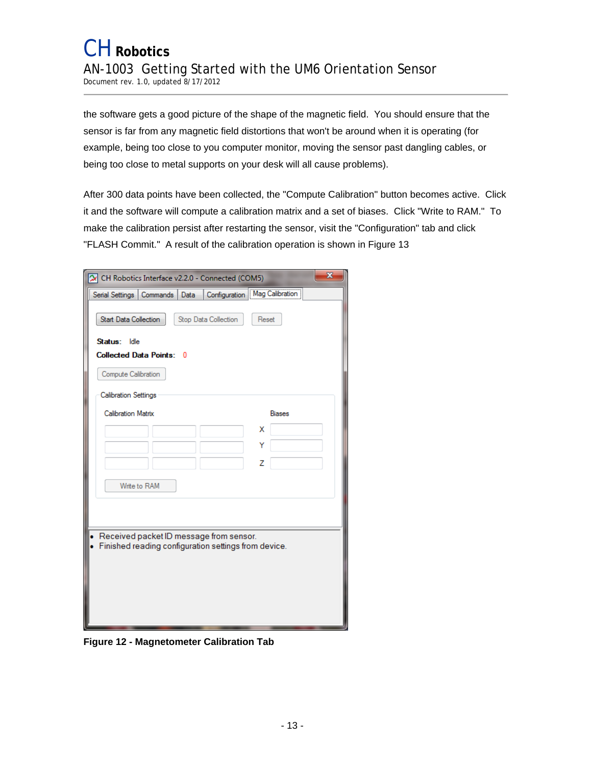the software gets a good picture of the shape of the magnetic field. You should ensure that the sensor is far from any magnetic field distortions that won't be around when it is operating (for example, being too close to you computer monitor, moving the sensor past dangling cables, or being too close to metal supports on your desk will all cause problems).

After 300 data points have been collected, the "Compute Calibration" button becomes active. Click it and the software will compute a calibration matrix and a set of biases. Click "Write to RAM." To make the calibration persist after restarting the sensor, visit the "Configuration" tab and click "FLASH Commit." A result of the calibration operation is shown in Figure 13

| CH Robotics Interface v2.2.0 - Connected (COM5)                           | $\mathbf{x}$  |
|---------------------------------------------------------------------------|---------------|
| Configuration   Mag Calibration  <br>Serial Settings   Commands  <br>Data |               |
| Start Data Collection<br>Stop Data Collection                             | Reset         |
| Status: Idle                                                              |               |
| <b>Collected Data Points: 0</b>                                           |               |
| Compute Calibration                                                       |               |
| <b>Calibration Settings</b>                                               |               |
| <b>Calibration Matrix</b>                                                 | <b>Biases</b> |
|                                                                           | х             |
|                                                                           | Y             |
|                                                                           | z             |
| Write to RAM                                                              |               |
|                                                                           |               |
|                                                                           |               |
| Received packet ID message from sensor.                                   |               |
| Finished reading configuration settings from device.                      |               |
|                                                                           |               |
|                                                                           |               |
|                                                                           |               |
|                                                                           |               |

<span id="page-12-0"></span>**Figure 12 - Magnetometer Calibration Tab**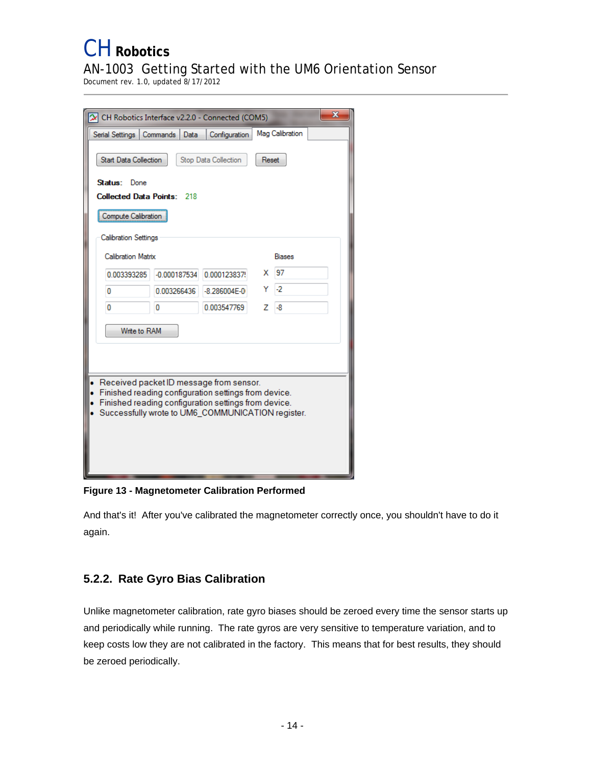Document rev. 1.0, updated 8/17/2012

| CH Robotics Interface v2.2.0 - Connected (COM5)                                                      |                  |                  |   | x               |
|------------------------------------------------------------------------------------------------------|------------------|------------------|---|-----------------|
| Serial Settings                                                                                      | Commands<br>Data | Configuration    |   | Mag Calibration |
| <b>Start Data Collection</b><br>Stop Data Collection<br>Reset                                        |                  |                  |   |                 |
| <b>Status:</b> Done                                                                                  |                  |                  |   |                 |
| <b>Collected Data Points: 218</b>                                                                    |                  |                  |   |                 |
| <b>Compute Calibration</b>                                                                           |                  |                  |   |                 |
| <b>Calibration Settings</b>                                                                          |                  |                  |   |                 |
| <b>Calibration Matrix</b>                                                                            |                  |                  |   | <b>Biases</b>   |
| 0.003393285                                                                                          | $-0.000187534$   | 0.000123837      | х | 97              |
| 0                                                                                                    | 0.003266436      | $-8.286004E - 0$ | Y | -2              |
| 0                                                                                                    | 0                | 0.003547769      | z | -8              |
| Write to RAM                                                                                         |                  |                  |   |                 |
|                                                                                                      |                  |                  |   |                 |
|                                                                                                      |                  |                  |   |                 |
| Received packet ID message from sensor.<br>۰<br>Finished reading configuration settings from device. |                  |                  |   |                 |
| Finished reading configuration settings from device.                                                 |                  |                  |   |                 |
| Successfully wrote to UM6_COMMUNICATION register.                                                    |                  |                  |   |                 |
|                                                                                                      |                  |                  |   |                 |
|                                                                                                      |                  |                  |   |                 |
|                                                                                                      |                  |                  |   |                 |

<span id="page-13-1"></span>**Figure 13 - Magnetometer Calibration Performed** 

And that's it! After you've calibrated the magnetometer correctly once, you shouldn't have to do it again.

#### <span id="page-13-0"></span>**5.2.2. Rate Gyro Bias Calibration**

Unlike magnetometer calibration, rate gyro biases should be zeroed every time the sensor starts up and periodically while running. The rate gyros are very sensitive to temperature variation, and to keep costs low they are not calibrated in the factory. This means that for best results, they should be zeroed periodically.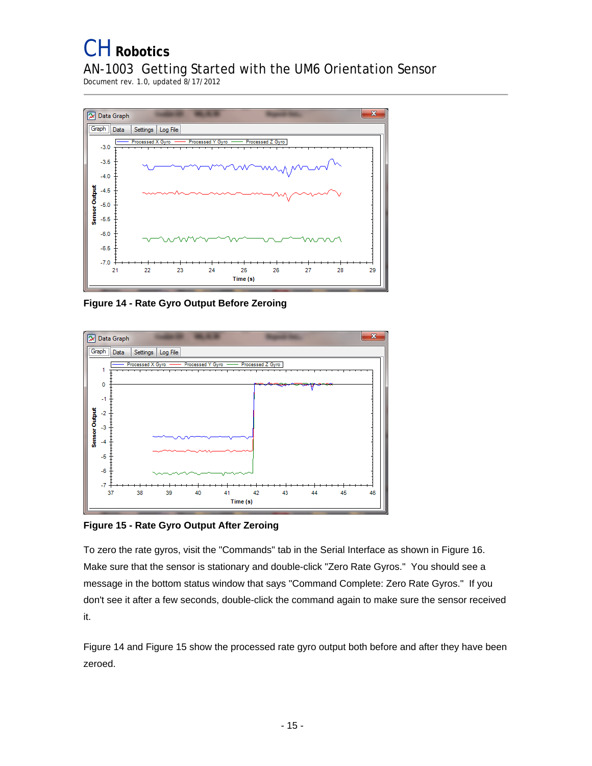Document rev. 1.0, updated 8/17/2012



**Figure 14 - Rate Gyro Output Before Zeroing** 

<span id="page-14-0"></span>

<span id="page-14-1"></span>**Figure 15 - Rate Gyro Output After Zeroing** 

To zero the rate gyros, visit the "Commands" tab in the Serial Interface as shown in Figure 16. Make sure that the sensor is stationary and double-click "Zero Rate Gyros." You should see a message in the bottom status window that says "Command Complete: Zero Rate Gyros." If you don't see it after a few seconds, double-click the command again to make sure the sensor received it.

Figure 14 and Figure 15 show the processed rate gyro output both before and after they have been zeroed.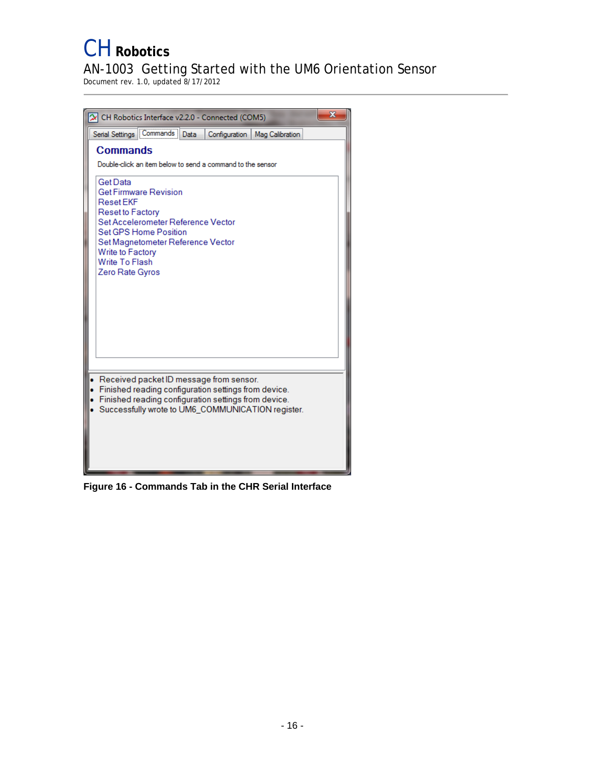Document rev. 1.0, updated 8/17/2012

| CH Robotics Interface v2.2.0 - Connected (COM5)                                                                                                                                                                                                             | x |
|-------------------------------------------------------------------------------------------------------------------------------------------------------------------------------------------------------------------------------------------------------------|---|
| Serial Settings Commands Data<br>Configuration   Mag Calibration                                                                                                                                                                                            |   |
| <b>Commands</b>                                                                                                                                                                                                                                             |   |
| Double-click an item below to send a command to the sensor                                                                                                                                                                                                  |   |
| Get Data<br><b>Get Firmware Revision</b><br><b>Reset EKF</b><br>Reset to Factory<br>Set Accelerometer Reference Vector<br><b>Set GPS Home Position</b><br>Set Magnetometer Reference Vector<br>Write to Factory<br><b>Write To Flash</b><br>Zero Rate Gyros |   |
|                                                                                                                                                                                                                                                             |   |
| Received packet ID message from sensor.<br>Finished reading configuration settings from device.<br>Finished reading configuration settings from device.<br>Successfully wrote to UM6_COMMUNICATION register.                                                |   |

<span id="page-15-0"></span>**Figure 16 - Commands Tab in the CHR Serial Interface**